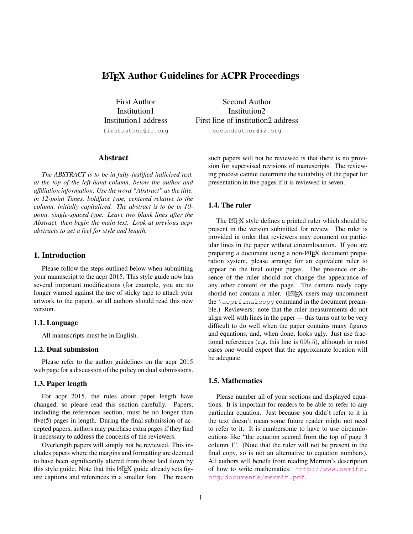# LATEX Author Guidelines for ACPR Proceedings

First Author Institution1 Institution1 address firstauthor@i1.org

Second Author Institution2 First line of institution2 address secondauthor@i2.org

## Abstract

*The ABSTRACT is to be in fully-justified italicized text, at the top of the left-hand column, below the author and affiliation information. Use the word "Abstract" as the title, in 12-point Times, boldface type, centered relative to the column, initially capitalized. The abstract is to be in 10 point, single-spaced type. Leave two blank lines after the Abstract, then begin the main text. Look at previous acpr abstracts to get a feel for style and length.*

## 1. Introduction

Please follow the steps outlined below when submitting your manuscript to the acpr 2015. This style guide now has several important modifications (for example, you are no longer warned against the use of sticky tape to attach your artwork to the paper), so all authors should read this new version.

#### 1.1. Language

All manuscripts must be in English.

### 1.2. Dual submission

Please refer to the author guidelines on the acpr 2015 web page for a discussion of the policy on dual submissions.

## 1.3. Paper length

For acpr 2015, the rules about paper length have changed, so please read this section carefully. Papers, including the references section, must be no longer than five(5) pages in length. During the final submission of accepted papers, authors may purchase extra pages if they find it necessary to address the concerns of the reviewers.

Overlength papers will simply not be reviewed. This includes papers where the margins and formatting are deemed to have been significantly altered from those laid down by this style guide. Note that this LATEX guide already sets figure captions and references in a smaller font. The reason such papers will not be reviewed is that there is no provision for supervised revisions of manuscripts. The reviewing process cannot determine the suitability of the paper for presentation in five pages if it is reviewed in seven.

### 1.4. The ruler

The LAT<sub>E</sub>X style defines a printed ruler which should be present in the version submitted for review. The ruler is provided in order that reviewers may comment on particular lines in the paper without circumlocution. If you are preparing a document using a non-LAT<sub>EX</sub> document preparation system, please arrange for an equivalent ruler to appear on the final output pages. The presence or absence of the ruler should not change the appearance of any other content on the page. The camera ready copy should not contain a ruler. (LATEX users may uncomment the \acprfinalcopy command in the document preamble.) Reviewers: note that the ruler measurements do not align well with lines in the paper — this turns out to be very difficult to do well when the paper contains many figures and equations, and, when done, looks ugly. Just use fractional references (e.g. this line is 095.5), although in most cases one would expect that the approximate location will be adequate.

#### 1.5. Mathematics

Please number all of your sections and displayed equations. It is important for readers to be able to refer to any particular equation. Just because you didn't refer to it in the text doesn't mean some future reader might not need to refer to it. It is cumbersome to have to use circumlocutions like "the equation second from the top of page 3 column 1". (Note that the ruler will not be present in the final copy, so is not an alternative to equation numbers). All authors will benefit from reading Mermin's description of how to write mathematics: [http://www.pamitc.](http://www.pamitc.org/documents/mermin.pdf) [org/documents/mermin.pdf](http://www.pamitc.org/documents/mermin.pdf).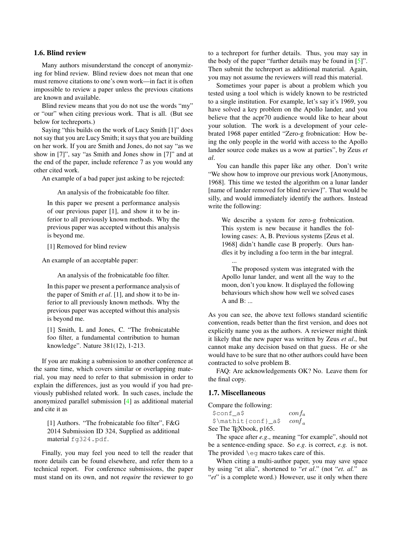#### <span id="page-1-0"></span>1.6. Blind review

Many authors misunderstand the concept of anonymizing for blind review. Blind review does not mean that one must remove citations to one's own work—in fact it is often impossible to review a paper unless the previous citations are known and available.

Blind review means that you do not use the words "my" or "our" when citing previous work. That is all. (But see below for techreports.)

Saying "this builds on the work of Lucy Smith [1]" does not say that you are Lucy Smith; it says that you are building on her work. If you are Smith and Jones, do not say "as we show in [7]", say "as Smith and Jones show in [7]" and at the end of the paper, include reference 7 as you would any other cited work.

An example of a bad paper just asking to be rejected:

An analysis of the frobnicatable foo filter.

In this paper we present a performance analysis of our previous paper [1], and show it to be inferior to all previously known methods. Why the previous paper was accepted without this analysis is beyond me.

[1] Removed for blind review

An example of an acceptable paper:

An analysis of the frobnicatable foo filter.

In this paper we present a performance analysis of the paper of Smith *et al*. [1], and show it to be inferior to all previously known methods. Why the previous paper was accepted without this analysis is beyond me.

[1] Smith, L and Jones, C. "The frobnicatable foo filter, a fundamental contribution to human knowledge". Nature 381(12), 1-213.

If you are making a submission to another conference at the same time, which covers similar or overlapping material, you may need to refer to that submission in order to explain the differences, just as you would if you had previously published related work. In such cases, include the anonymized parallel submission [\[4\]](#page-3-0) as additional material and cite it as

[1] Authors. "The frobnicatable foo filter", F&G 2014 Submission ID 324, Supplied as additional material fg324.pdf.

Finally, you may feel you need to tell the reader that more details can be found elsewhere, and refer them to a technical report. For conference submissions, the paper must stand on its own, and not *require* the reviewer to go

to a techreport for further details. Thus, you may say in the body of the paper "further details may be found in [\[5\]](#page-3-1)". Then submit the techreport as additional material. Again, you may not assume the reviewers will read this material.

Sometimes your paper is about a problem which you tested using a tool which is widely known to be restricted to a single institution. For example, let's say it's 1969, you have solved a key problem on the Apollo lander, and you believe that the acpr70 audience would like to hear about your solution. The work is a development of your celebrated 1968 paper entitled "Zero-g frobnication: How being the only people in the world with access to the Apollo lander source code makes us a wow at parties", by Zeus *et al*.

You can handle this paper like any other. Don't write "We show how to improve our previous work [Anonymous, 1968]. This time we tested the algorithm on a lunar lander [name of lander removed for blind review]". That would be silly, and would immediately identify the authors. Instead write the following:

We describe a system for zero-g frobnication. This system is new because it handles the following cases: A, B. Previous systems [Zeus et al. 1968] didn't handle case B properly. Ours handles it by including a foo term in the bar integral.

The proposed system was integrated with the Apollo lunar lander, and went all the way to the moon, don't you know. It displayed the following behaviours which show how well we solved cases A and B: ...

As you can see, the above text follows standard scientific convention, reads better than the first version, and does not explicitly name you as the authors. A reviewer might think it likely that the new paper was written by Zeus *et al*., but cannot make any decision based on that guess. He or she would have to be sure that no other authors could have been contracted to solve problem B.

FAQ: Are acknowledgements OK? No. Leave them for the final copy.

### 1.7. Miscellaneous

...

Compare the following:

| \$conf a\$                                                  | $\frac{\text{conf}_a}{\text{f}_a}$ |
|-------------------------------------------------------------|------------------------------------|
| $\mathcal{S}\mathcal{L}$ = $\mathcal{S}\$ = $\text{conf}_a$ |                                    |
| See The T <sub>F</sub> Xbook, p165.                         |                                    |

The space after *e.g*., meaning "for example", should not be a sentence-ending space. So *e.g*. is correct, *e.g.* is not. The provided \eg macro takes care of this.

When citing a multi-author paper, you may save space by using "et alia", shortened to "*et al*." (not "*et. al.*" as "*et*" is a complete word.) However, use it only when there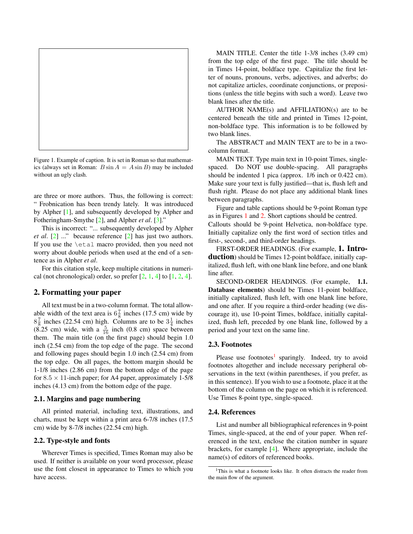<span id="page-2-2"></span>

Figure 1. Example of caption. It is set in Roman so that mathematics (always set in Roman:  $B \sin A = A \sin B$ ) may be included without an ugly clash.

<span id="page-2-0"></span>are three or more authors. Thus, the following is correct: " Frobnication has been trendy lately. It was introduced by Alpher [\[1\]](#page-3-2), and subsequently developed by Alpher and Fotheringham-Smythe [\[2\]](#page-3-3), and Alpher *et al*. [\[3\]](#page-3-4)."

This is incorrect: "... subsequently developed by Alpher *et al*. [\[2\]](#page-3-3) ..." because reference [\[2\]](#page-3-3) has just two authors. If you use the \etal macro provided, then you need not worry about double periods when used at the end of a sentence as in Alpher *et al*.

For this citation style, keep multiple citations in numerical (not chronological) order, so prefer  $[2, 1, 4]$  $[2, 1, 4]$  $[2, 1, 4]$  $[2, 1, 4]$  $[2, 1, 4]$  to  $[1, 2, 4]$  $[1, 2, 4]$  $[1, 2, 4]$  $[1, 2, 4]$ .

### 2. Formatting your paper

All text must be in a two-column format. The total allowable width of the text area is  $6\frac{7}{8}$  inches (17.5 cm) wide by  $8\frac{7}{8}$  inches (22.54 cm) high. Columns are to be  $3\frac{1}{4}$  inches  $(8.25 \text{ cm})$  wide, with a  $\frac{5}{16}$  inch  $(0.8 \text{ cm})$  space between them. The main title (on the first page) should begin 1.0 inch (2.54 cm) from the top edge of the page. The second and following pages should begin 1.0 inch (2.54 cm) from the top edge. On all pages, the bottom margin should be 1-1/8 inches (2.86 cm) from the bottom edge of the page for  $8.5 \times 11$ -inch paper; for A4 paper, approximately 1-5/8 inches (4.13 cm) from the bottom edge of the page.

#### 2.1. Margins and page numbering

All printed material, including text, illustrations, and charts, must be kept within a print area 6-7/8 inches (17.5 cm) wide by 8-7/8 inches (22.54 cm) high.

#### 2.2. Type-style and fonts

Wherever Times is specified, Times Roman may also be used. If neither is available on your word processor, please use the font closest in appearance to Times to which you have access.

MAIN TITLE. Center the title 1-3/8 inches (3.49 cm) from the top edge of the first page. The title should be in Times 14-point, boldface type. Capitalize the first letter of nouns, pronouns, verbs, adjectives, and adverbs; do not capitalize articles, coordinate conjunctions, or prepositions (unless the title begins with such a word). Leave two blank lines after the title.

AUTHOR NAME(s) and AFFILIATION(s) are to be centered beneath the title and printed in Times 12-point, non-boldface type. This information is to be followed by two blank lines.

The ABSTRACT and MAIN TEXT are to be in a twocolumn format.

MAIN TEXT. Type main text in 10-point Times, singlespaced. Do NOT use double-spacing. All paragraphs should be indented 1 pica (approx. 1/6 inch or 0.422 cm). Make sure your text is fully justified—that is, flush left and flush right. Please do not place any additional blank lines between paragraphs.

Figure and table captions should be 9-point Roman type as in Figures [1](#page-2-0) and [2.](#page-3-5) Short captions should be centred. Callouts should be 9-point Helvetica, non-boldface type. Initially capitalize only the first word of section titles and first-, second-, and third-order headings.

FIRST-ORDER HEADINGS. (For example, 1. Introduction) should be Times 12-point boldface, initially capitalized, flush left, with one blank line before, and one blank line after.

SECOND-ORDER HEADINGS. (For example, 1.1. Database elements) should be Times 11-point boldface, initially capitalized, flush left, with one blank line before, and one after. If you require a third-order heading (we discourage it), use 10-point Times, boldface, initially capitalized, flush left, preceded by one blank line, followed by a period and your text on the same line.

#### 2.3. Footnotes

Please use footnotes<sup>[1](#page-2-1)</sup> sparingly. Indeed, try to avoid footnotes altogether and include necessary peripheral observations in the text (within parentheses, if you prefer, as in this sentence). If you wish to use a footnote, place it at the bottom of the column on the page on which it is referenced. Use Times 8-point type, single-spaced.

#### 2.4. References

List and number all bibliographical references in 9-point Times, single-spaced, at the end of your paper. When referenced in the text, enclose the citation number in square brackets, for example [\[4\]](#page-3-0). Where appropriate, include the name(s) of editors of referenced books.

<span id="page-2-1"></span><sup>&</sup>lt;sup>1</sup>This is what a footnote looks like. It often distracts the reader from the main flow of the argument.